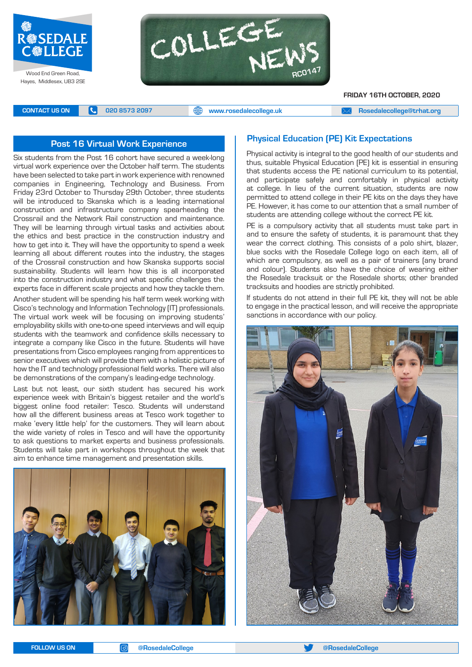



**FRIDAY 16TH OCTOBER, 2020**

**CONTACT US ON <b>C** 020 8573 2097 **C** 020 8573 2097 **CONTACT US ON EXAM Rosedalecollege@trhat.org** 

#### **Post 16 Virtual Work Experience**

Six students from the Post 16 cohort have secured a week-long virtual work experience over the October half term. The students have been selected to take part in work experience with renowned companies in Engineering, Technology and Business. From Friday 23rd October to Thursday 29th October, three students will be introduced to Skanska which is a leading international construction and infrastructure company spearheading the Crossrail and the Network Rail construction and maintenance. They will be learning through virtual tasks and activities about the ethics and best practice in the construction industry and how to get into it. They will have the opportunity to spend a week learning all about different routes into the industry, the stages of the Crossrail construction and how Skanska supports social sustainability. Students will learn how this is all incorporated into the construction industry and what specific challenges the experts face in different scale projects and how they tackle them.

Another student will be spending his half term week working with Cisco's technology and Information Technology (IT) professionals. The virtual work week will be focusing on improving students' employability skills with one-to-one speed interviews and will equip students with the teamwork and confidence skills necessary to integrate a company like Cisco in the future. Students will have presentations from Cisco employees ranging from apprentices to senior executives which will provide them with a holistic picture of how the IT and technology professional field works. There will also be demonstrations of the company's leading-edge technology.

Last but not least, our sixth student has secured his work experience week with Britain's biggest retailer and the world's biggest online food retailer: Tesco. Students will understand how all the different business areas at Tesco work together to make 'every little help' for the customers. They will learn about the wide variety of roles in Tesco and will have the opportunity to ask questions to market experts and business professionals. Students will take part in workshops throughout the week that aim to enhance time management and presentation skills.



#### **Physical Education (PE) Kit Expectations**

Physical activity is integral to the good health of our students and thus, suitable Physical Education (PE) kit is essential in ensuring that students access the PE national curriculum to its potential, and participate safely and comfortably in physical activity at college. In lieu of the current situation, students are now permitted to attend college in their PE kits on the days they have PE. However, it has come to our attention that a small number of students are attending college without the correct PE kit.

PE is a compulsory activity that all students must take part in and to ensure the safety of students, it is paramount that they wear the correct clothing. This consists of a polo shirt, blazer, blue socks with the Rosedale College logo on each item, all of which are compulsory, as well as a pair of trainers (any brand and colour). Students also have the choice of wearing either the Rosedale tracksuit or the Rosedale shorts; other branded tracksuits and hoodies are strictly prohibited.

If students do not attend in their full PE kit, they will not be able to engage in the practical lesson, and will receive the appropriate sanctions in accordance with our policy.